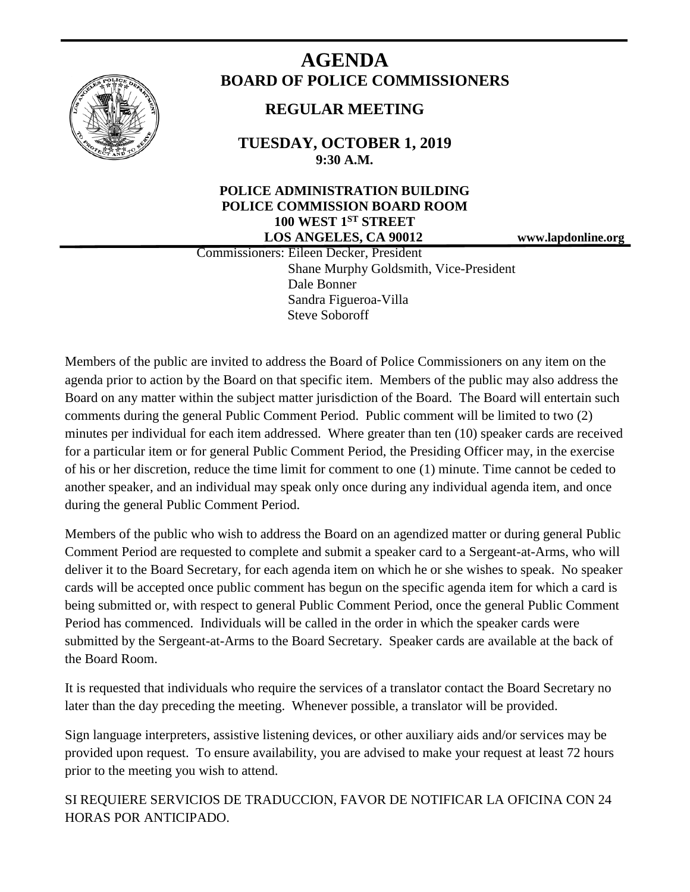

# **AGENDA BOARD OF POLICE COMMISSIONERS**

## **REGULAR MEETING**

**TUESDAY, OCTOBER 1, 2019 9:30 A.M.**

#### **POLICE ADMINISTRATION BUILDING POLICE COMMISSION BOARD ROOM 100 WEST 1ST STREET LOS ANGELES, CA 90012 www.lapdonline.org**

 Commissioners: Eileen Decker, President Shane Murphy Goldsmith, Vice-President Dale Bonner Sandra Figueroa-Villa Steve Soboroff

Members of the public are invited to address the Board of Police Commissioners on any item on the agenda prior to action by the Board on that specific item. Members of the public may also address the Board on any matter within the subject matter jurisdiction of the Board. The Board will entertain such comments during the general Public Comment Period. Public comment will be limited to two (2) minutes per individual for each item addressed. Where greater than ten (10) speaker cards are received for a particular item or for general Public Comment Period, the Presiding Officer may, in the exercise of his or her discretion, reduce the time limit for comment to one (1) minute. Time cannot be ceded to another speaker, and an individual may speak only once during any individual agenda item, and once during the general Public Comment Period.

Members of the public who wish to address the Board on an agendized matter or during general Public Comment Period are requested to complete and submit a speaker card to a Sergeant-at-Arms, who will deliver it to the Board Secretary, for each agenda item on which he or she wishes to speak. No speaker cards will be accepted once public comment has begun on the specific agenda item for which a card is being submitted or, with respect to general Public Comment Period, once the general Public Comment Period has commenced. Individuals will be called in the order in which the speaker cards were submitted by the Sergeant-at-Arms to the Board Secretary. Speaker cards are available at the back of the Board Room.

It is requested that individuals who require the services of a translator contact the Board Secretary no later than the day preceding the meeting. Whenever possible, a translator will be provided.

Sign language interpreters, assistive listening devices, or other auxiliary aids and/or services may be provided upon request. To ensure availability, you are advised to make your request at least 72 hours prior to the meeting you wish to attend.

SI REQUIERE SERVICIOS DE TRADUCCION, FAVOR DE NOTIFICAR LA OFICINA CON 24 HORAS POR ANTICIPADO.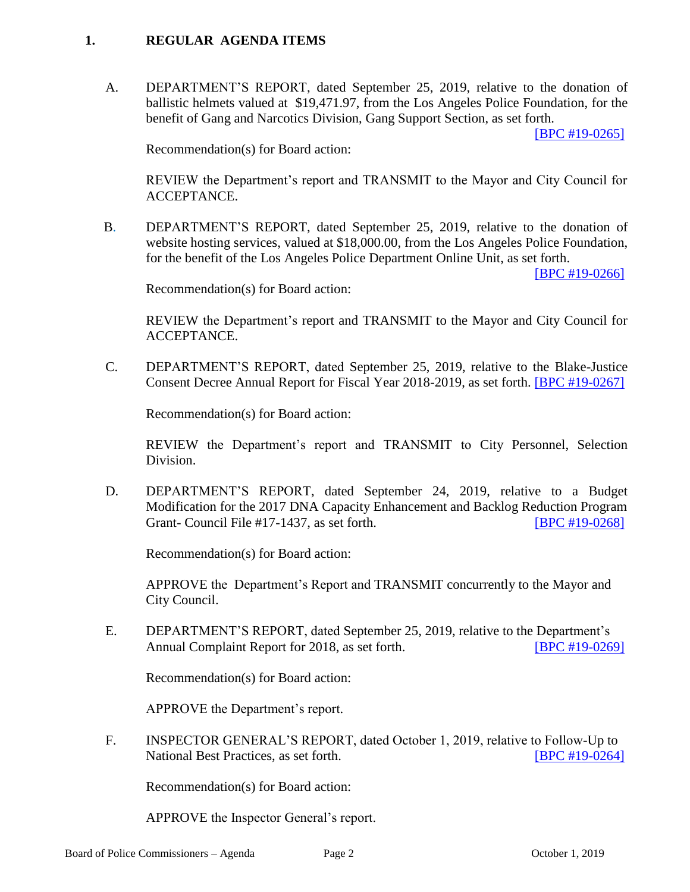#### **1. REGULAR AGENDA ITEMS**

A. DEPARTMENT'S REPORT, dated September 25, 2019, relative to the donation of ballistic helmets valued at \$19,471.97, from the Los Angeles Police Foundation, for the benefit of Gang and Narcotics Division, Gang Support Section, as set forth.

[\[BPC #19-0265\]](http://www.lapdpolicecom.lacity.org/100119/BPC_19-0265.pdf)

Recommendation(s) for Board action:

REVIEW the Department's report and TRANSMIT to the Mayor and City Council for ACCEPTANCE.

B. DEPARTMENT'S REPORT, dated September 25, 2019, relative to the donation of website hosting services, valued at \$18,000.00, from the Los Angeles Police Foundation, for the benefit of the Los Angeles Police Department Online Unit, as set forth.

[\[BPC #19-0266\]](http://www.lapdpolicecom.lacity.org/100119/BPC_19-0266.pdf)

Recommendation(s) for Board action:

REVIEW the Department's report and TRANSMIT to the Mayor and City Council for ACCEPTANCE.

C. DEPARTMENT'S REPORT, dated September 25, 2019, relative to the Blake-Justice Consent Decree Annual Report for Fiscal Year 2018-2019, as set forth. [\[BPC #19-0267\]](http://www.lapdpolicecom.lacity.org/100119/BPC_19-0267.pdf) 

Recommendation(s) for Board action:

REVIEW the Department's report and TRANSMIT to City Personnel, Selection Division.

 D. DEPARTMENT'S REPORT, dated September 24, 2019, relative to a Budget Modification for the 2017 DNA Capacity Enhancement and Backlog Reduction Program Grant- Council File #17-1437, as set forth. [\[BPC #19-0268\]](http://www.lapdpolicecom.lacity.org/100119/BPC_19-0268.pdf)

Recommendation(s) for Board action:

APPROVE the Department's Report and TRANSMIT concurrently to the Mayor and City Council.

 E. DEPARTMENT'S REPORT, dated September 25, 2019, relative to the Department's Annual Complaint Report for 2018, as set forth. **[\[BPC #19-0269\]](http://www.lapdpolicecom.lacity.org/100119/BPC_19-0269.pdf)** 

Recommendation(s) for Board action:

APPROVE the Department's report.

F. INSPECTOR GENERAL'S REPORT, dated October 1, 2019, relative to Follow-Up to National Best Practices, as set forth. **[\[BPC #19-0264\]](http://www.lapdpolicecom.lacity.org/100119/BPC_19-0264.pdf)** 

Recommendation(s) for Board action:

APPROVE the Inspector General's report.